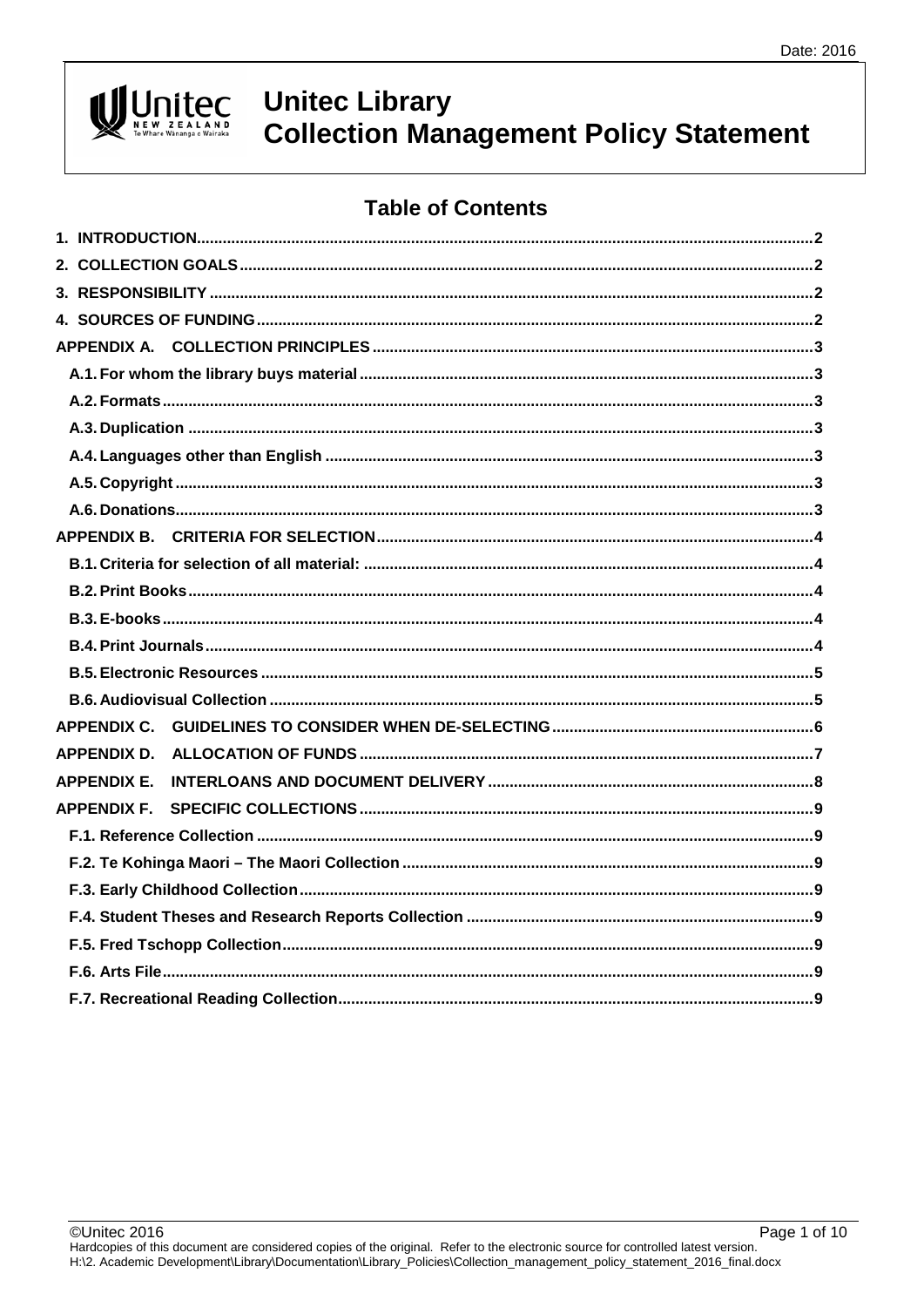# Unitec

# **Unitec Library Collection Management Policy Statement**

# **Table of Contents**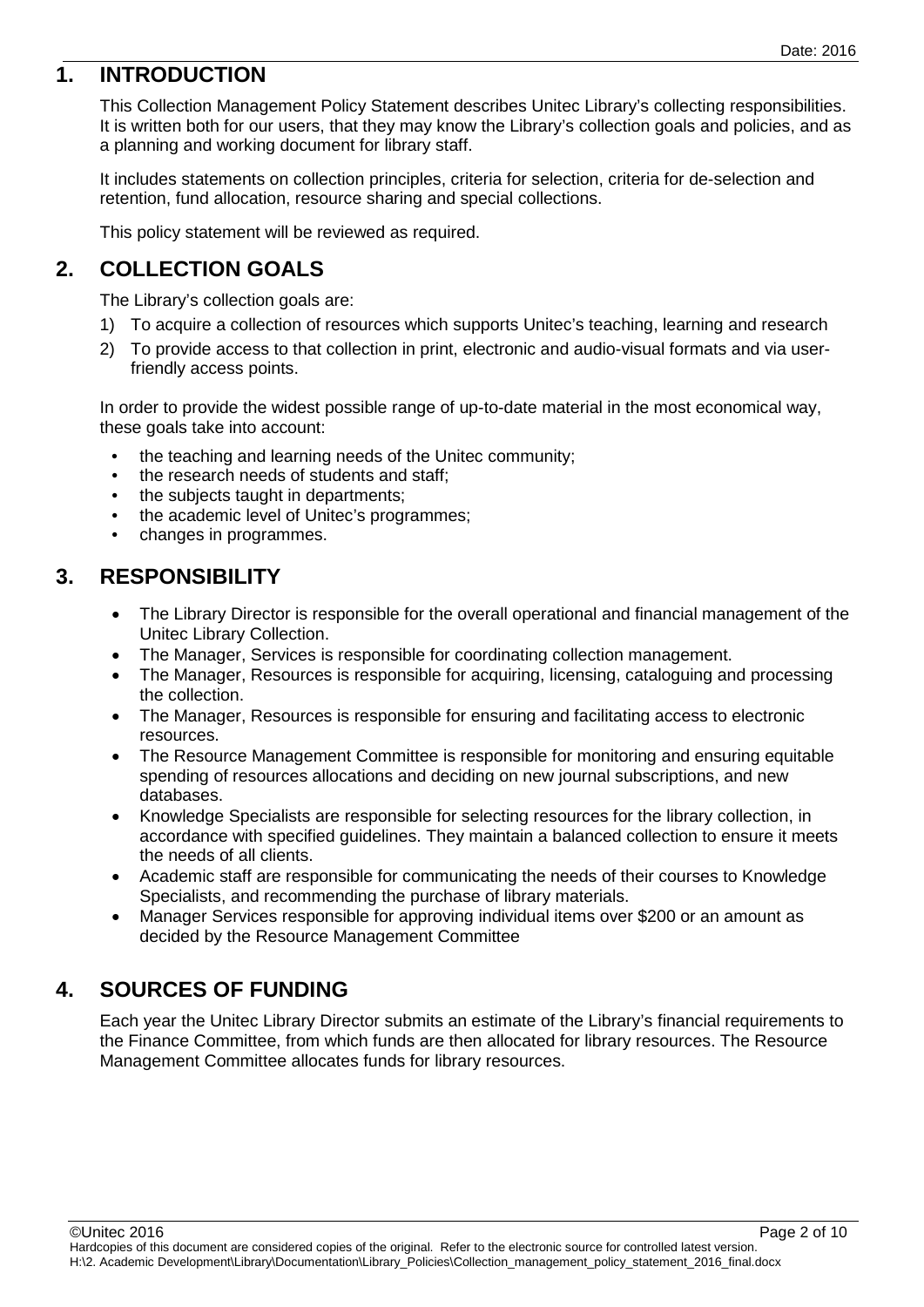# <span id="page-1-0"></span>**1. INTRODUCTION**

This Collection Management Policy Statement describes Unitec Library's collecting responsibilities. It is written both for our users, that they may know the Library's collection goals and policies, and as a planning and working document for library staff.

It includes statements on collection principles, criteria for selection, criteria for de-selection and retention, fund allocation, resource sharing and special collections.

This policy statement will be reviewed as required.

## <span id="page-1-1"></span>**2. COLLECTION GOALS**

The Library's collection goals are:

- 1) To acquire a collection of resources which supports Unitec's teaching, learning and research
- 2) To provide access to that collection in print, electronic and audio-visual formats and via userfriendly access points.

In order to provide the widest possible range of up-to-date material in the most economical way, these goals take into account:

- the teaching and learning needs of the United community;
- the research needs of students and staff;
- the subjects taught in departments;
- the academic level of Unitec's programmes;
- changes in programmes.

## <span id="page-1-2"></span>**3. RESPONSIBILITY**

- The Library Director is responsible for the overall operational and financial management of the Unitec Library Collection.
- The Manager, Services is responsible for coordinating collection management.
- The Manager, Resources is responsible for acquiring, licensing, cataloguing and processing the collection.
- The Manager, Resources is responsible for ensuring and facilitating access to electronic resources.
- The Resource Management Committee is responsible for monitoring and ensuring equitable spending of resources allocations and deciding on new journal subscriptions, and new databases.
- Knowledge Specialists are responsible for selecting resources for the library collection, in accordance with specified guidelines. They maintain a balanced collection to ensure it meets the needs of all clients.
- Academic staff are responsible for communicating the needs of their courses to Knowledge Specialists, and recommending the purchase of library materials.
- Manager Services responsible for approving individual items over \$200 or an amount as decided by the Resource Management Committee

# <span id="page-1-3"></span>**4. SOURCES OF FUNDING**

Each year the Unitec Library Director submits an estimate of the Library's financial requirements to the Finance Committee, from which funds are then allocated for library resources. The Resource Management Committee allocates funds for library resources.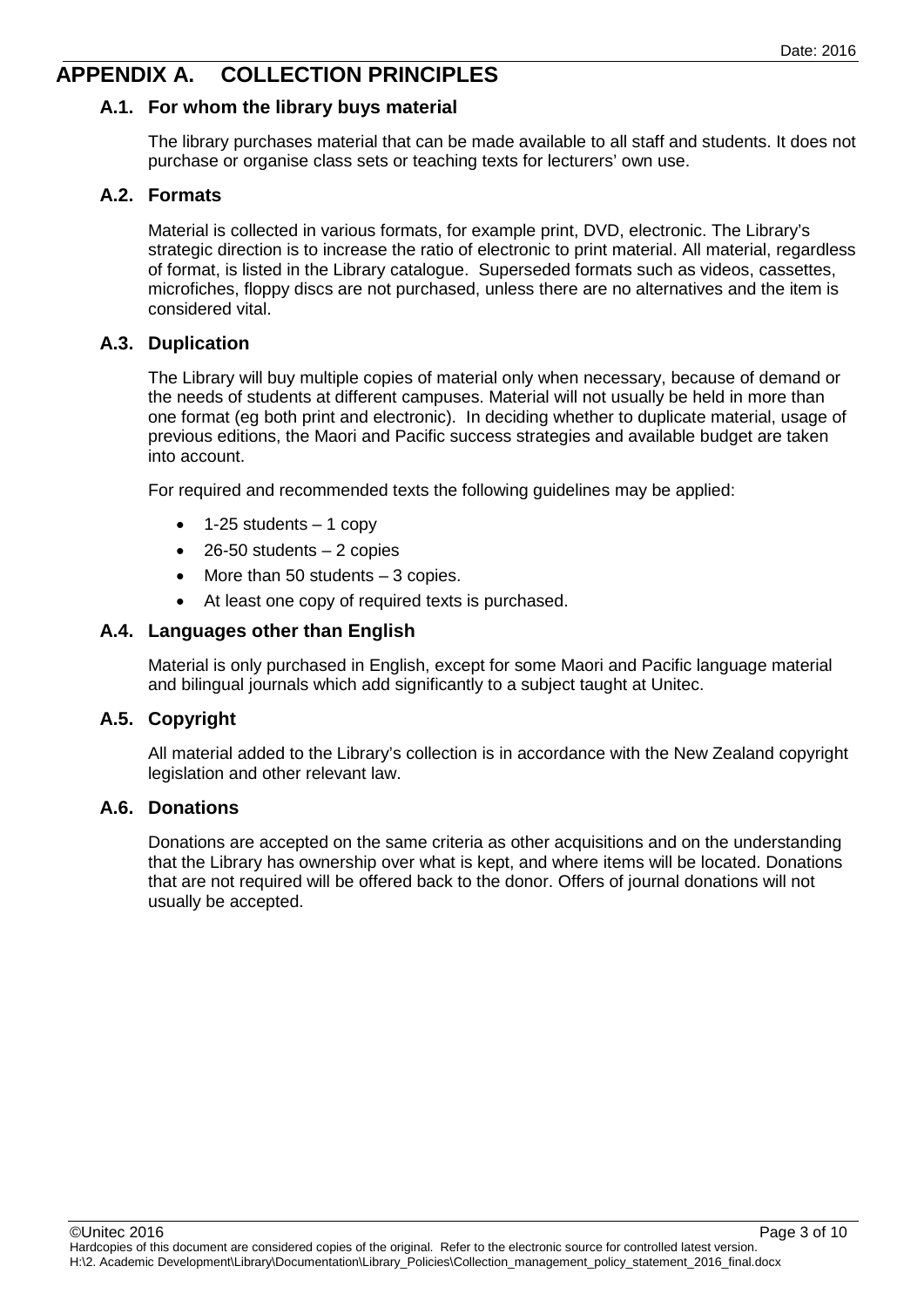# <span id="page-2-1"></span><span id="page-2-0"></span>**APPENDIX A. COLLECTION PRINCIPLES**

#### **A.1. For whom the library buys material**

The library purchases material that can be made available to all staff and students. It does not purchase or organise class sets or teaching texts for lecturers' own use.

#### <span id="page-2-2"></span>**A.2. Formats**

Material is collected in various formats, for example print, DVD, electronic. The Library's strategic direction is to increase the ratio of electronic to print material. All material, regardless of format, is listed in the Library catalogue. Superseded formats such as videos, cassettes, microfiches, floppy discs are not purchased, unless there are no alternatives and the item is considered vital.

#### <span id="page-2-3"></span>**A.3. Duplication**

The Library will buy multiple copies of material only when necessary, because of demand or the needs of students at different campuses. Material will not usually be held in more than one format (eg both print and electronic). In deciding whether to duplicate material, usage of previous editions, the Maori and Pacific success strategies and available budget are taken into account.

For required and recommended texts the following guidelines may be applied:

- $\bullet$  1-25 students  $-$  1 copy
- $\bullet$  26-50 students  $-2$  copies
- More than 50 students 3 copies.
- At least one copy of required texts is purchased.

#### <span id="page-2-4"></span>**A.4. Languages other than English**

Material is only purchased in English, except for some Maori and Pacific language material and bilingual journals which add significantly to a subject taught at Unitec.

#### <span id="page-2-5"></span>**A.5. Copyright**

All material added to the Library's collection is in accordance with the New Zealand copyright legislation and other relevant law.

#### <span id="page-2-6"></span>**A.6. Donations**

Donations are accepted on the same criteria as other acquisitions and on the understanding that the Library has ownership over what is kept, and where items will be located. Donations that are not required will be offered back to the donor. Offers of journal donations will not usually be accepted.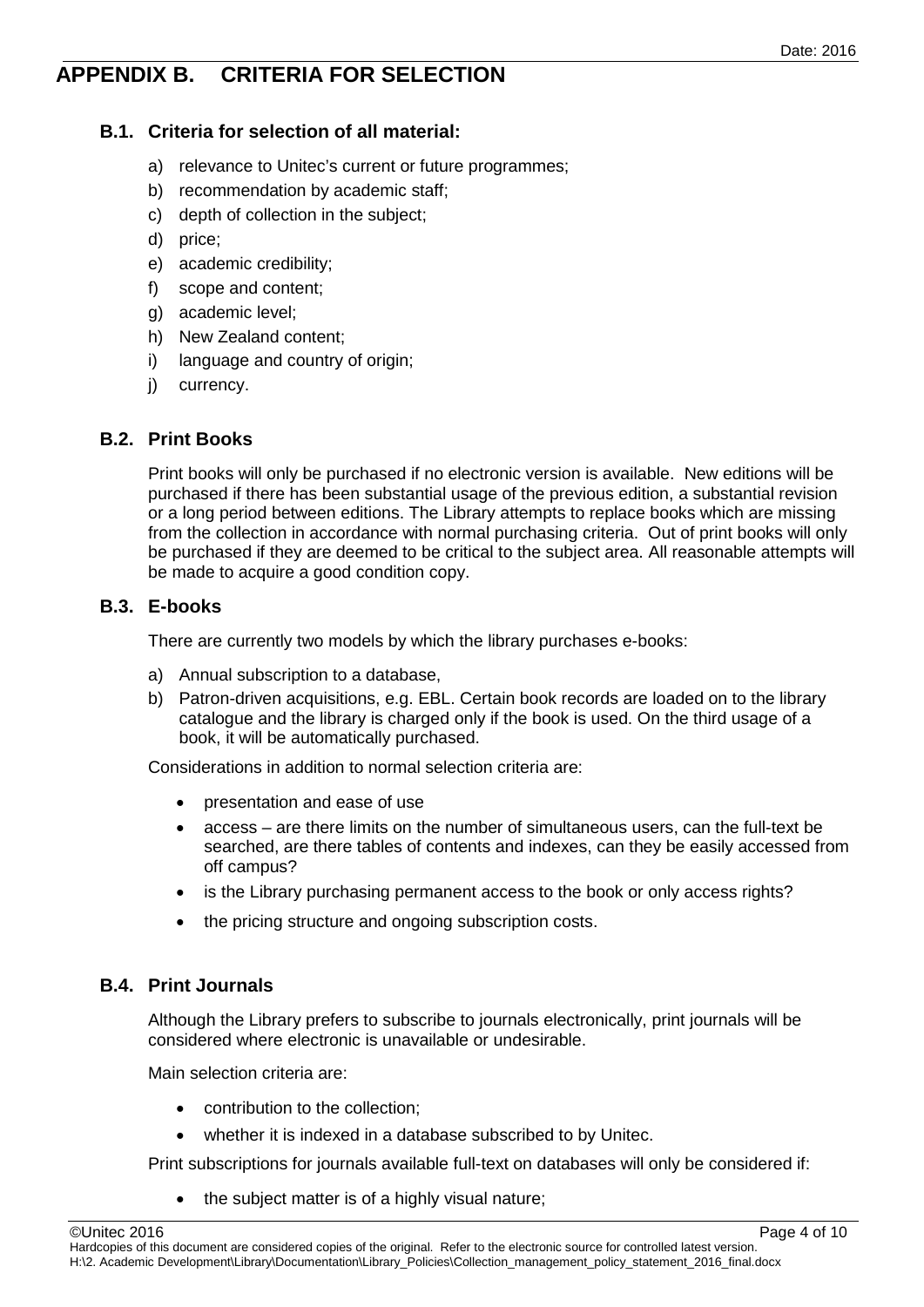# <span id="page-3-0"></span>**APPENDIX B. CRITERIA FOR SELECTION**

#### <span id="page-3-1"></span>**B.1. Criteria for selection of all material:**

- a) relevance to Unitec's current or future programmes;
- b) recommendation by academic staff;
- c) depth of collection in the subject;
- d) price;
- e) academic credibility;
- f) scope and content;
- g) academic level;
- h) New Zealand content;
- i) language and country of origin;
- j) currency.

#### <span id="page-3-2"></span>**B.2. Print Books**

Print books will only be purchased if no electronic version is available. New editions will be purchased if there has been substantial usage of the previous edition, a substantial revision or a long period between editions. The Library attempts to replace books which are missing from the collection in accordance with normal purchasing criteria. Out of print books will only be purchased if they are deemed to be critical to the subject area. All reasonable attempts will be made to acquire a good condition copy.

#### <span id="page-3-3"></span>**B.3. E-books**

There are currently two models by which the library purchases e-books:

- a) Annual subscription to a database,
- b) Patron-driven acquisitions, e.g. EBL. Certain book records are loaded on to the library catalogue and the library is charged only if the book is used. On the third usage of a book, it will be automatically purchased.

Considerations in addition to normal selection criteria are:

- presentation and ease of use
- access are there limits on the number of simultaneous users, can the full-text be searched, are there tables of contents and indexes, can they be easily accessed from off campus?
- is the Library purchasing permanent access to the book or only access rights?
- the pricing structure and ongoing subscription costs.

#### <span id="page-3-4"></span>**B.4. Print Journals**

Although the Library prefers to subscribe to journals electronically, print journals will be considered where electronic is unavailable or undesirable.

Main selection criteria are:

- contribution to the collection;
- whether it is indexed in a database subscribed to by Unitec.

Print subscriptions for journals available full-text on databases will only be considered if:

the subject matter is of a highly visual nature;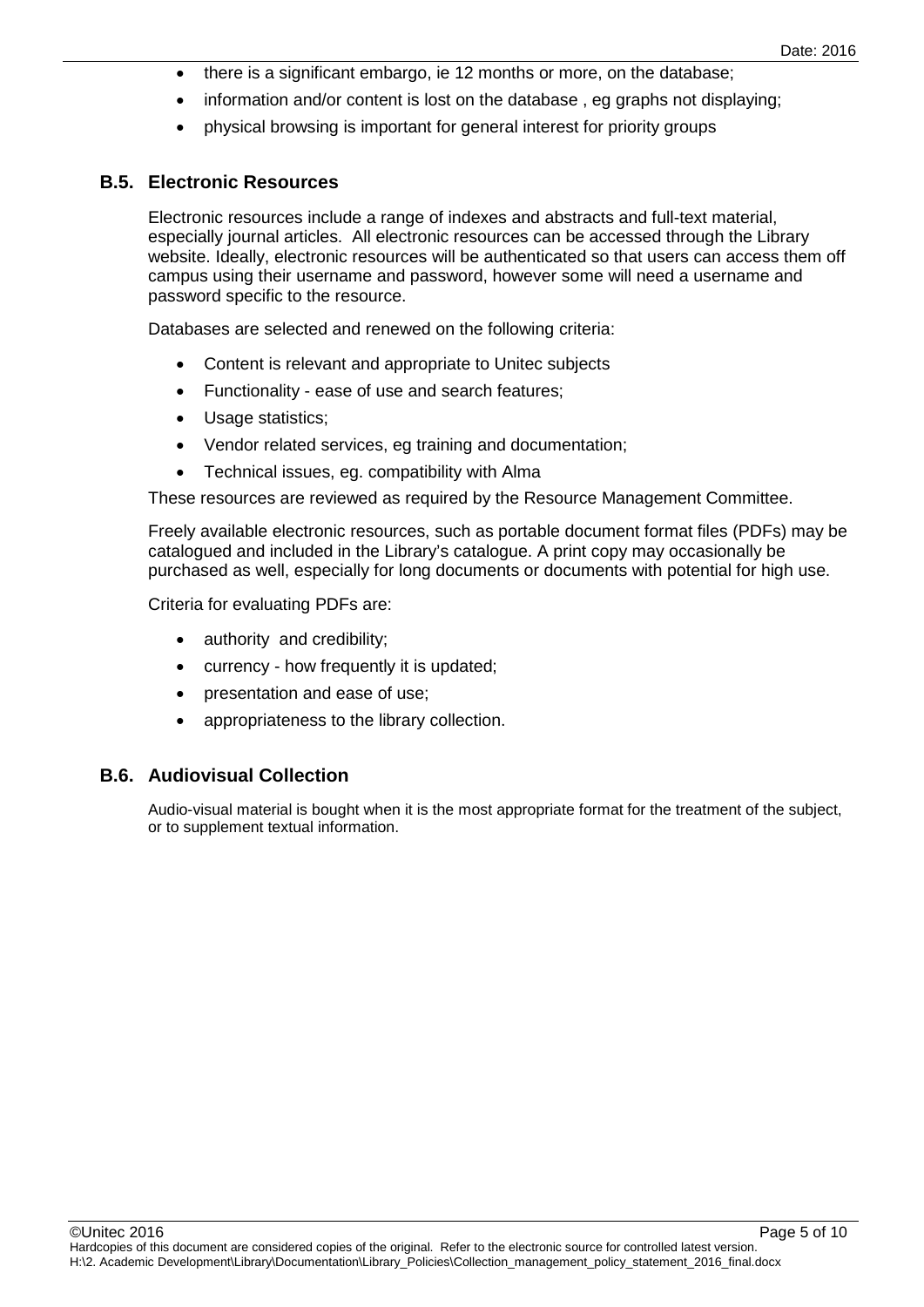- there is a significant embargo, ie 12 months or more, on the database;
- information and/or content is lost on the database, eg graphs not displaying;
- physical browsing is important for general interest for priority groups

#### <span id="page-4-0"></span>**B.5. Electronic Resources**

Electronic resources include a range of indexes and abstracts and full-text material, especially journal articles. All electronic resources can be accessed through the Library website. Ideally, electronic resources will be authenticated so that users can access them off campus using their username and password, however some will need a username and password specific to the resource.

Databases are selected and renewed on the following criteria:

- Content is relevant and appropriate to Unitec subjects
- Functionality ease of use and search features;
- Usage statistics;
- Vendor related services, eg training and documentation;
- Technical issues, eg. compatibility with Alma

These resources are reviewed as required by the Resource Management Committee.

Freely available electronic resources, such as portable document format files (PDFs) may be catalogued and included in the Library's catalogue. A print copy may occasionally be purchased as well, especially for long documents or documents with potential for high use.

Criteria for evaluating PDFs are:

- authority and credibility;
- currency how frequently it is updated;
- presentation and ease of use;
- appropriateness to the library collection.

#### <span id="page-4-1"></span>**B.6. Audiovisual Collection**

Audio-visual material is bought when it is the most appropriate format for the treatment of the subject, or to supplement textual information.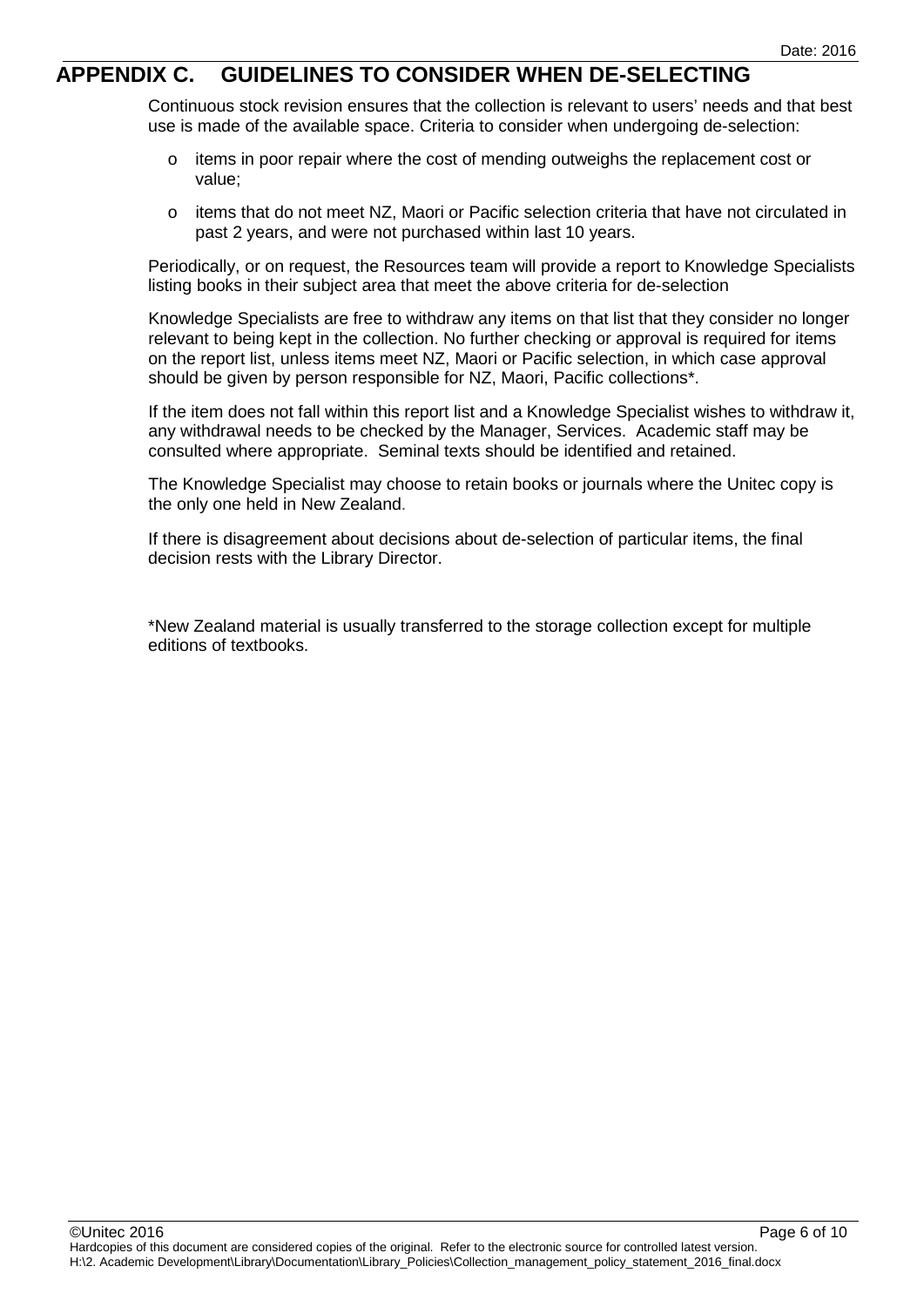### <span id="page-5-0"></span>**APPENDIX C. GUIDELINES TO CONSIDER WHEN DE-SELECTING**

Continuous stock revision ensures that the collection is relevant to users' needs and that best use is made of the available space. Criteria to consider when undergoing de-selection:

- o items in poor repair where the cost of mending outweighs the replacement cost or value;
- o items that do not meet NZ, Maori or Pacific selection criteria that have not circulated in past 2 years, and were not purchased within last 10 years.

Periodically, or on request, the Resources team will provide a report to Knowledge Specialists listing books in their subject area that meet the above criteria for de-selection

Knowledge Specialists are free to withdraw any items on that list that they consider no longer relevant to being kept in the collection. No further checking or approval is required for items on the report list, unless items meet NZ, Maori or Pacific selection, in which case approval should be given by person responsible for NZ, Maori, Pacific collections\*.

If the item does not fall within this report list and a Knowledge Specialist wishes to withdraw it, any withdrawal needs to be checked by the Manager, Services. Academic staff may be consulted where appropriate. Seminal texts should be identified and retained.

The Knowledge Specialist may choose to retain books or journals where the Unitec copy is the only one held in New Zealand.

If there is disagreement about decisions about de-selection of particular items, the final decision rests with the Library Director.

\*New Zealand material is usually transferred to the storage collection except for multiple editions of textbooks.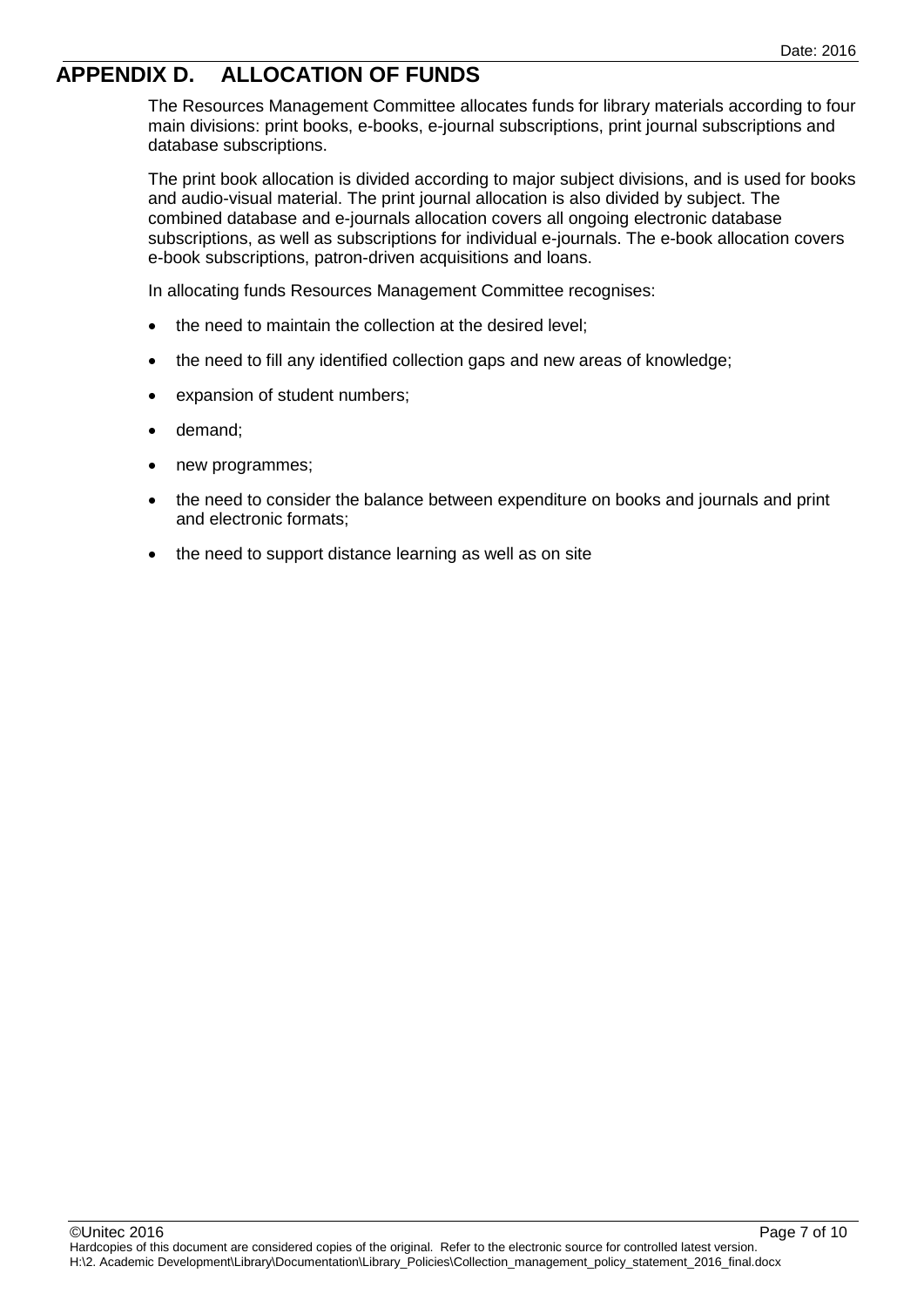# <span id="page-6-0"></span>**APPENDIX D. ALLOCATION OF FUNDS**

The Resources Management Committee allocates funds for library materials according to four main divisions: print books, e-books, e-journal subscriptions, print journal subscriptions and database subscriptions.

The print book allocation is divided according to major subject divisions, and is used for books and audio-visual material. The print journal allocation is also divided by subject. The combined database and e-journals allocation covers all ongoing electronic database subscriptions, as well as subscriptions for individual e-journals. The e-book allocation covers e-book subscriptions, patron-driven acquisitions and loans.

In allocating funds Resources Management Committee recognises:

- the need to maintain the collection at the desired level;
- the need to fill any identified collection gaps and new areas of knowledge;
- expansion of student numbers;
- demand;
- new programmes;
- the need to consider the balance between expenditure on books and journals and print and electronic formats;
- the need to support distance learning as well as on site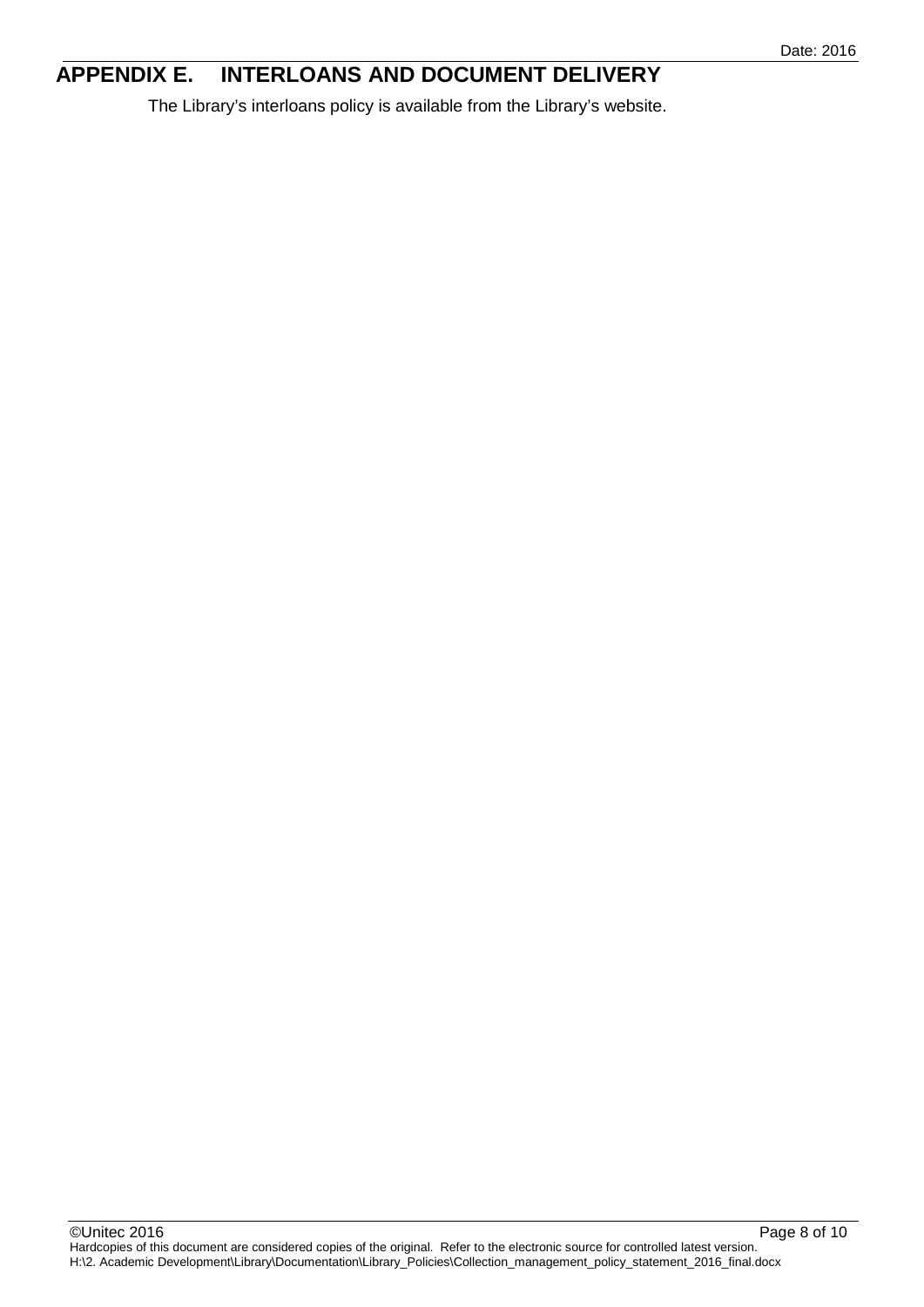# <span id="page-7-0"></span>**APPENDIX E. INTERLOANS AND DOCUMENT DELIVERY**

The Library's interloans policy is available from the Library's website.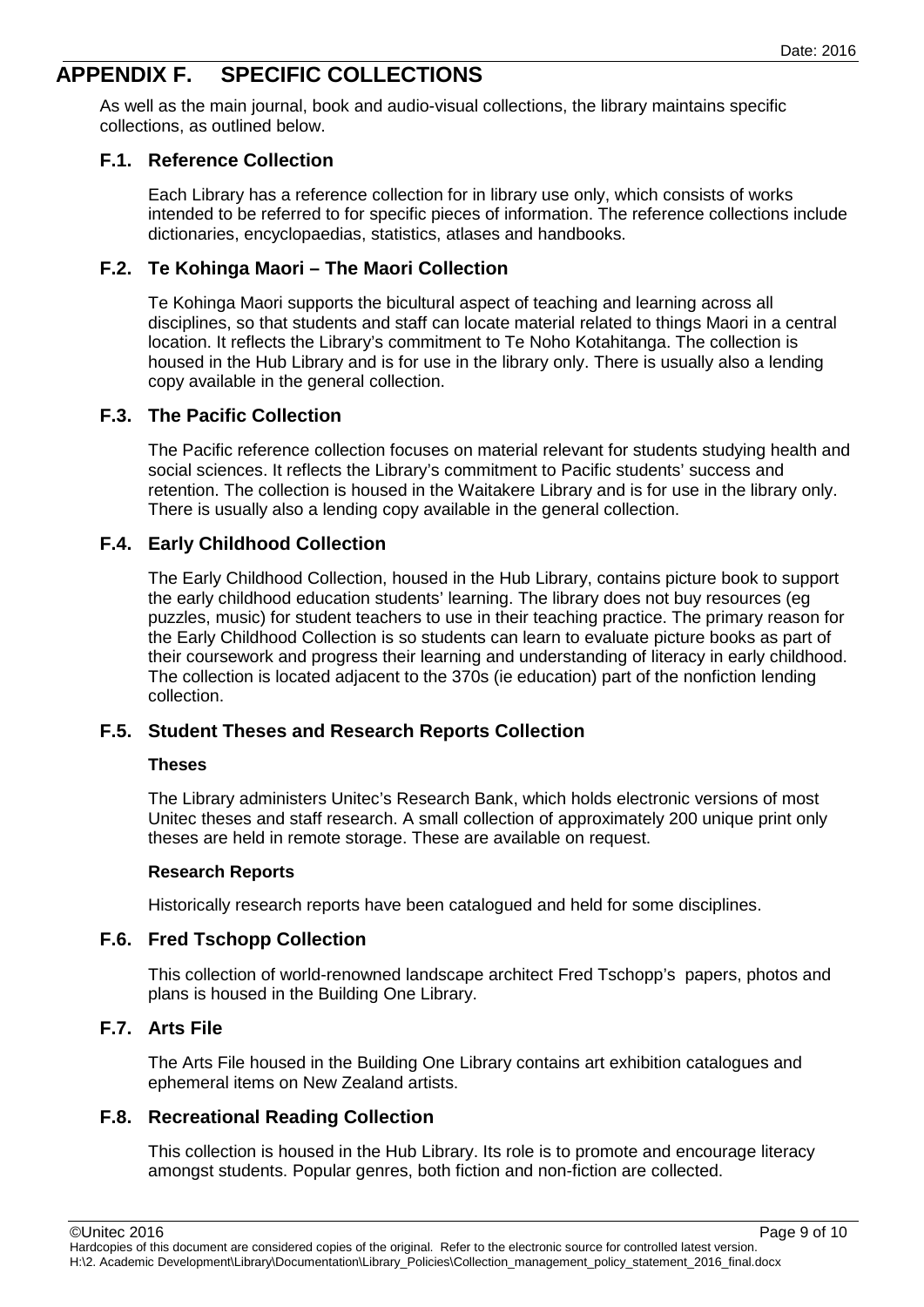# <span id="page-8-0"></span>**APPENDIX F. SPECIFIC COLLECTIONS**

As well as the main journal, book and audio-visual collections, the library maintains specific collections, as outlined below.

#### <span id="page-8-1"></span>**F.1. Reference Collection**

Each Library has a reference collection for in library use only, which consists of works intended to be referred to for specific pieces of information. The reference collections include dictionaries, encyclopaedias, statistics, atlases and handbooks.

#### <span id="page-8-2"></span>**F.2. Te Kohinga Maori – The Maori Collection**

Te Kohinga Maori supports the bicultural aspect of teaching and learning across all disciplines, so that students and staff can locate material related to things Maori in a central location. It reflects the Library's commitment to Te Noho Kotahitanga. The collection is housed in the Hub Library and is for use in the library only. There is usually also a lending copy available in the general collection.

#### <span id="page-8-3"></span>**F.3. The Pacific Collection**

The Pacific reference collection focuses on material relevant for students studying health and social sciences. It reflects the Library's commitment to Pacific students' success and retention. The collection is housed in the Waitakere Library and is for use in the library only. There is usually also a lending copy available in the general collection.

#### **F.4. Early Childhood Collection**

The Early Childhood Collection, housed in the Hub Library, contains picture book to support the early childhood education students' learning. The library does not buy resources (eg puzzles, music) for student teachers to use in their teaching practice. The primary reason for the Early Childhood Collection is so students can learn to evaluate picture books as part of their coursework and progress their learning and understanding of literacy in early childhood. The collection is located adjacent to the 370s (ie education) part of the nonfiction lending collection.

#### <span id="page-8-4"></span>**F.5. Student Theses and Research Reports Collection**

#### **Theses**

The Library administers Unitec's Research Bank, which holds electronic versions of most Unitec theses and staff research. A small collection of approximately 200 unique print only theses are held in remote storage. These are available on request.

#### **Research Reports**

Historically research reports have been catalogued and held for some disciplines.

#### <span id="page-8-5"></span>**F.6. Fred Tschopp Collection**

This collection of world-renowned landscape architect Fred Tschopp's papers, photos and plans is housed in the Building One Library.

#### <span id="page-8-6"></span>**F.7. Arts File**

The Arts File housed in the Building One Library contains art exhibition catalogues and ephemeral items on New Zealand artists.

#### <span id="page-8-7"></span>**F.8. Recreational Reading Collection**

This collection is housed in the Hub Library. Its role is to promote and encourage literacy amongst students. Popular genres, both fiction and non-fiction are collected.